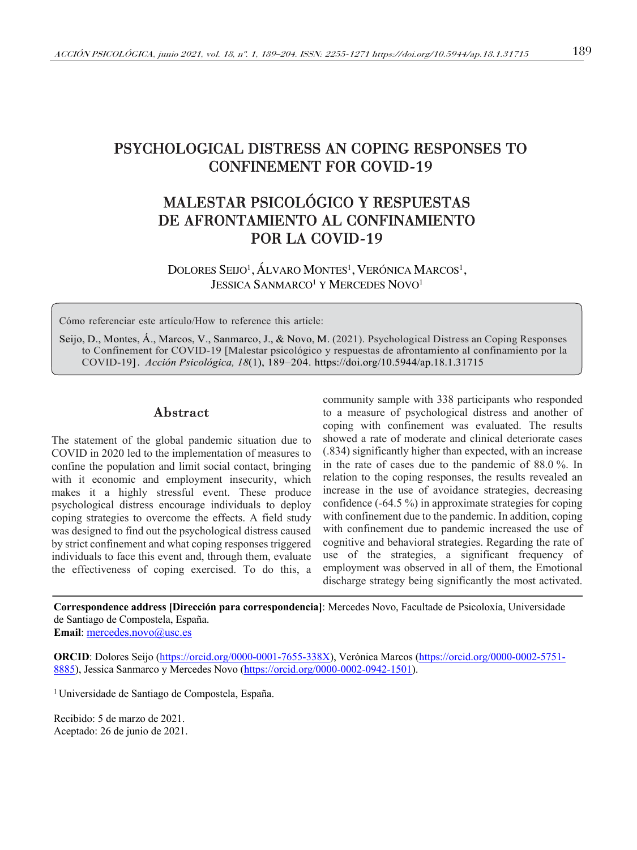# PSYCHOLOGICAL DISTRESS AN COPING RESPONSES TO CONFINEMENT FOR COVID-19

# MALESTAR PSICOLÓGICO Y RESPUESTAS DE AFRONTAMIENTO AL CONFINAMIENTO POR LA COVID-19

DOLORES SEIJO<sup>1</sup>, ÁLVARO MONTES<sup>1</sup>, VERÓNICA MARCOS<sup>1</sup>, JESSICA SANMARCO<sup>1</sup> Y MERCEDES NOVO<sup>1</sup>

Cómo referenciar este artículo/How to reference this article:

Seijo, D., Montes, Á., Marcos, V., Sanmarco, J., & Novo, M. (2021). Psychological Distress an Coping Responses to Confinement for COVID-19 [Malestar psicológico y respuestas de afrontamiento al confinamiento por la COVID-19]. *Acción Psicológica, 18*(1), 189–204. https://doi.org/10.5944/ap.18.1.31715

## Abstract

The statement of the global pandemic situation due to COVID in 2020 led to the implementation of measures to confine the population and limit social contact, bringing with it economic and employment insecurity, which makes it a highly stressful event. These produce psychological distress encourage individuals to deploy coping strategies to overcome the effects. A field study was designed to find out the psychological distress caused by strict confinement and what coping responses triggered individuals to face this event and, through them, evaluate the effectiveness of coping exercised. To do this, a community sample with 338 participants who responded to a measure of psychological distress and another of coping with confinement was evaluated. The results showed a rate of moderate and clinical deteriorate cases (.834) significantly higher than expected, with an increase in the rate of cases due to the pandemic of 88.0 %. In relation to the coping responses, the results revealed an increase in the use of avoidance strategies, decreasing confidence (-64.5 %) in approximate strategies for coping with confinement due to the pandemic. In addition, coping with confinement due to pandemic increased the use of cognitive and behavioral strategies. Regarding the rate of use of the strategies, a significant frequency of employment was observed in all of them, the Emotional discharge strategy being significantly the most activated.

**Correspondence address [Dirección para correspondencia]**: Mercedes Novo, Facultade de Psicoloxía, Universidade de Santiago de Compostela, España.

**Email**: mercedes.novo@usc.es

**ORCID**: Dolores Seijo (https://orcid.org/0000-0001-7655-338X), Verónica Marcos (https://orcid.org/0000-0002-5751- 8885), Jessica Sanmarco y Mercedes Novo (https://orcid.org/0000-0002-0942-1501).

1 Universidade de Santiago de Compostela, España.

Recibido: 5 de marzo de 2021. Aceptado: 26 de junio de 2021.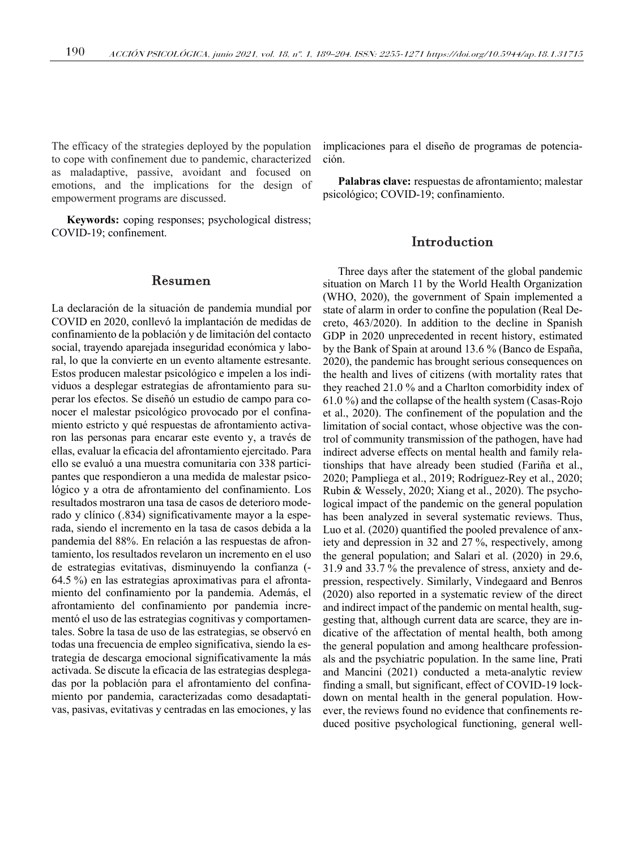The efficacy of the strategies deployed by the population to cope with confinement due to pandemic, characterized as maladaptive, passive, avoidant and focused on emotions, and the implications for the design of empowerment programs are discussed.

**Keywords:** coping responses; psychological distress; COVID-19; confinement.

#### Resumen

La declaración de la situación de pandemia mundial por COVID en 2020, conllevó la implantación de medidas de confinamiento de la población y de limitación del contacto social, trayendo aparejada inseguridad económica y laboral, lo que la convierte en un evento altamente estresante. Estos producen malestar psicológico e impelen a los individuos a desplegar estrategias de afrontamiento para superar los efectos. Se diseñó un estudio de campo para conocer el malestar psicológico provocado por el confinamiento estricto y qué respuestas de afrontamiento activaron las personas para encarar este evento y, a través de ellas, evaluar la eficacia del afrontamiento ejercitado. Para ello se evaluó a una muestra comunitaria con 338 participantes que respondieron a una medida de malestar psicológico y a otra de afrontamiento del confinamiento. Los resultados mostraron una tasa de casos de deterioro moderado y clínico (.834) significativamente mayor a la esperada, siendo el incremento en la tasa de casos debida a la pandemia del 88%. En relación a las respuestas de afrontamiento, los resultados revelaron un incremento en el uso de estrategias evitativas, disminuyendo la confianza (- 64.5 %) en las estrategias aproximativas para el afrontamiento del confinamiento por la pandemia. Además, el afrontamiento del confinamiento por pandemia incrementó el uso de las estrategias cognitivas y comportamentales. Sobre la tasa de uso de las estrategias, se observó en todas una frecuencia de empleo significativa, siendo la estrategia de descarga emocional significativamente la más activada. Se discute la eficacia de las estrategias desplegadas por la población para el afrontamiento del confinamiento por pandemia, caracterizadas como desadaptativas, pasivas, evitativas y centradas en las emociones, y las implicaciones para el diseño de programas de potenciación.

**Palabras clave:** respuestas de afrontamiento; malestar psicológico; COVID-19; confinamiento.

## Introduction

Three days after the statement of the global pandemic situation on March 11 by the World Health Organization (WHO, 2020), the government of Spain implemented a state of alarm in order to confine the population (Real Decreto, 463/2020). In addition to the decline in Spanish GDP in 2020 unprecedented in recent history, estimated by the Bank of Spain at around 13.6 % (Banco de España, 2020), the pandemic has brought serious consequences on the health and lives of citizens (with mortality rates that they reached 21.0 % and a Charlton comorbidity index of 61.0 %) and the collapse of the health system (Casas-Rojo et al., 2020). The confinement of the population and the limitation of social contact, whose objective was the control of community transmission of the pathogen, have had indirect adverse effects on mental health and family relationships that have already been studied (Fariña et al., 2020; Pampliega et al., 2019; Rodríguez-Rey et al., 2020; Rubin & Wessely, 2020; Xiang et al., 2020). The psychological impact of the pandemic on the general population has been analyzed in several systematic reviews. Thus, Luo et al. (2020) quantified the pooled prevalence of anxiety and depression in 32 and 27 %, respectively, among the general population; and Salari et al. (2020) in 29.6, 31.9 and 33.7 % the prevalence of stress, anxiety and depression, respectively. Similarly, Vindegaard and Benros (2020) also reported in a systematic review of the direct and indirect impact of the pandemic on mental health, suggesting that, although current data are scarce, they are indicative of the affectation of mental health, both among the general population and among healthcare professionals and the psychiatric population. In the same line, Prati and Mancini (2021) conducted a meta-analytic review finding a small, but significant, effect of COVID-19 lockdown on mental health in the general population. However, the reviews found no evidence that confinements reduced positive psychological functioning, general well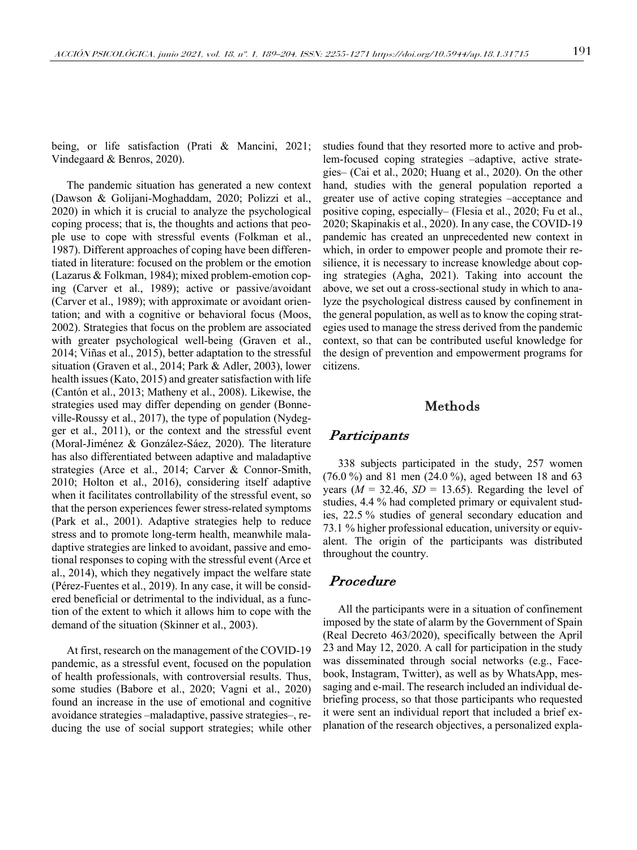being, or life satisfaction (Prati & Mancini, 2021; Vindegaard & Benros, 2020).

The pandemic situation has generated a new context (Dawson & Golijani-Moghaddam, 2020; Polizzi et al., 2020) in which it is crucial to analyze the psychological coping process; that is, the thoughts and actions that people use to cope with stressful events (Folkman et al., 1987). Different approaches of coping have been differentiated in literature: focused on the problem or the emotion (Lazarus & Folkman, 1984); mixed problem-emotion coping (Carver et al., 1989); active or passive/avoidant (Carver et al., 1989); with approximate or avoidant orientation; and with a cognitive or behavioral focus (Moos, 2002). Strategies that focus on the problem are associated with greater psychological well-being (Graven et al., 2014; Viñas et al., 2015), better adaptation to the stressful situation (Graven et al., 2014; Park & Adler, 2003), lower health issues (Kato, 2015) and greater satisfaction with life (Cantón et al., 2013; Matheny et al., 2008). Likewise, the strategies used may differ depending on gender (Bonneville-Roussy et al., 2017), the type of population (Nydegger et al., 2011), or the context and the stressful event (Moral-Jiménez & González-Sáez, 2020). The literature has also differentiated between adaptive and maladaptive strategies (Arce et al., 2014; Carver & Connor-Smith, 2010; Holton et al., 2016), considering itself adaptive when it facilitates controllability of the stressful event, so that the person experiences fewer stress-related symptoms (Park et al., 2001). Adaptive strategies help to reduce stress and to promote long-term health, meanwhile maladaptive strategies are linked to avoidant, passive and emotional responses to coping with the stressful event (Arce et al., 2014), which they negatively impact the welfare state (Pérez-Fuentes et al., 2019). In any case, it will be considered beneficial or detrimental to the individual, as a function of the extent to which it allows him to cope with the demand of the situation (Skinner et al., 2003).

At first, research on the management of the COVID-19 pandemic, as a stressful event, focused on the population of health professionals, with controversial results. Thus, some studies (Babore et al., 2020; Vagni et al., 2020) found an increase in the use of emotional and cognitive avoidance strategies –maladaptive, passive strategies–, reducing the use of social support strategies; while other

studies found that they resorted more to active and problem-focused coping strategies –adaptive, active strategies– (Cai et al., 2020; Huang et al., 2020). On the other hand, studies with the general population reported a greater use of active coping strategies –acceptance and positive coping, especially– (Flesia et al., 2020; Fu et al., 2020; Skapinakis et al., 2020). In any case, the COVID-19 pandemic has created an unprecedented new context in which, in order to empower people and promote their resilience, it is necessary to increase knowledge about coping strategies (Agha, 2021). Taking into account the above, we set out a cross-sectional study in which to analyze the psychological distress caused by confinement in the general population, as well as to know the coping strategies used to manage the stress derived from the pandemic context, so that can be contributed useful knowledge for the design of prevention and empowerment programs for citizens.

#### Methods

#### **Participants**

338 subjects participated in the study, 257 women (76.0 %) and 81 men (24.0 %), aged between 18 and 63 vears  $(M = 32.46, SD = 13.65)$ . Regarding the level of studies, 4.4 % had completed primary or equivalent studies, 22.5 % studies of general secondary education and 73.1 % higher professional education, university or equivalent. The origin of the participants was distributed throughout the country.

#### Procedure

All the participants were in a situation of confinement imposed by the state of alarm by the Government of Spain (Real Decreto 463/2020), specifically between the April 23 and May 12, 2020. A call for participation in the study was disseminated through social networks (e.g., Facebook, Instagram, Twitter), as well as by WhatsApp, messaging and e-mail. The research included an individual debriefing process, so that those participants who requested it were sent an individual report that included a brief explanation of the research objectives, a personalized expla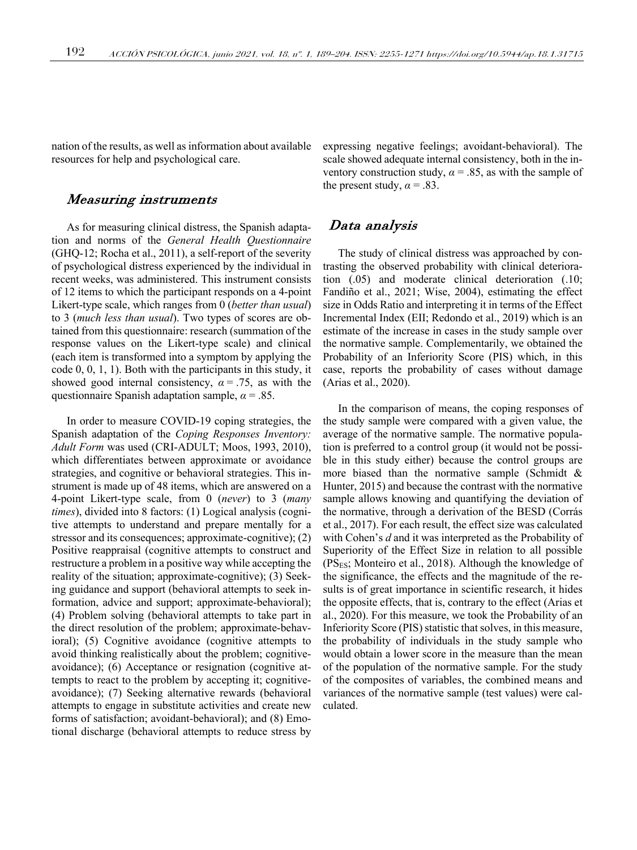nation of the results, as well as information about available resources for help and psychological care.

#### Measuring instruments

As for measuring clinical distress, the Spanish adaptation and norms of the *General Health Questionnaire* (GHQ-12; Rocha et al., 2011), a self-report of the severity of psychological distress experienced by the individual in recent weeks, was administered. This instrument consists of 12 items to which the participant responds on a 4-point Likert-type scale, which ranges from 0 (*better than usual*) to 3 (*much less than usual*). Two types of scores are obtained from this questionnaire: research (summation of the response values on the Likert-type scale) and clinical (each item is transformed into a symptom by applying the code 0, 0, 1, 1). Both with the participants in this study, it showed good internal consistency,  $\alpha = .75$ , as with the questionnaire Spanish adaptation sample, *α* = .85.

In order to measure COVID-19 coping strategies, the Spanish adaptation of the *Coping Responses Inventory: Adult Form* was used (CRI-ADULT; Moos, 1993, 2010), which differentiates between approximate or avoidance strategies, and cognitive or behavioral strategies. This instrument is made up of 48 items, which are answered on a 4-point Likert-type scale, from 0 (*never*) to 3 (*many times*), divided into 8 factors: (1) Logical analysis (cognitive attempts to understand and prepare mentally for a stressor and its consequences; approximate-cognitive); (2) Positive reappraisal (cognitive attempts to construct and restructure a problem in a positive way while accepting the reality of the situation; approximate-cognitive); (3) Seeking guidance and support (behavioral attempts to seek information, advice and support; approximate-behavioral); (4) Problem solving (behavioral attempts to take part in the direct resolution of the problem; approximate-behavioral); (5) Cognitive avoidance (cognitive attempts to avoid thinking realistically about the problem; cognitiveavoidance); (6) Acceptance or resignation (cognitive attempts to react to the problem by accepting it; cognitiveavoidance); (7) Seeking alternative rewards (behavioral attempts to engage in substitute activities and create new forms of satisfaction; avoidant-behavioral); and (8) Emotional discharge (behavioral attempts to reduce stress by expressing negative feelings; avoidant-behavioral). The scale showed adequate internal consistency, both in the inventory construction study,  $\alpha = 0.85$ , as with the sample of the present study,  $\alpha = .83$ .

#### Data analysis

The study of clinical distress was approached by contrasting the observed probability with clinical deterioration (.05) and moderate clinical deterioration (.10; Fandiño et al., 2021; Wise, 2004), estimating the effect size in Odds Ratio and interpreting it in terms of the Effect Incremental Index (EII; Redondo et al., 2019) which is an estimate of the increase in cases in the study sample over the normative sample. Complementarily, we obtained the Probability of an Inferiority Score (PIS) which, in this case, reports the probability of cases without damage (Arias et al., 2020).

In the comparison of means, the coping responses of the study sample were compared with a given value, the average of the normative sample. The normative population is preferred to a control group (it would not be possible in this study either) because the control groups are more biased than the normative sample (Schmidt & Hunter, 2015) and because the contrast with the normative sample allows knowing and quantifying the deviation of the normative, through a derivation of the BESD (Corrás et al., 2017). For each result, the effect size was calculated with Cohen's *d* and it was interpreted as the Probability of Superiority of the Effect Size in relation to all possible  $(PS_{ES};$  Monteiro et al., 2018). Although the knowledge of the significance, the effects and the magnitude of the results is of great importance in scientific research, it hides the opposite effects, that is, contrary to the effect (Arias et al., 2020). For this measure, we took the Probability of an Inferiority Score (PIS) statistic that solves, in this measure, the probability of individuals in the study sample who would obtain a lower score in the measure than the mean of the population of the normative sample. For the study of the composites of variables, the combined means and variances of the normative sample (test values) were calculated.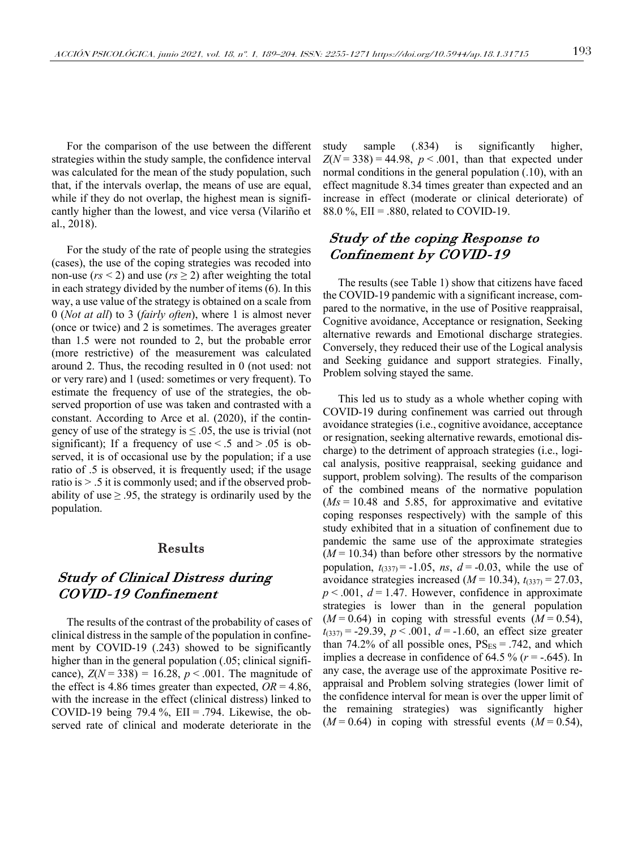For the comparison of the use between the different strategies within the study sample, the confidence interval was calculated for the mean of the study population, such that, if the intervals overlap, the means of use are equal, while if they do not overlap, the highest mean is significantly higher than the lowest, and vice versa (Vilariño et al., 2018).

For the study of the rate of people using the strategies (cases), the use of the coping strategies was recoded into non-use ( $rs < 2$ ) and use ( $rs \ge 2$ ) after weighting the total in each strategy divided by the number of items (6). In this way, a use value of the strategy is obtained on a scale from 0 (*Not at all*) to 3 (*fairly often*), where 1 is almost never (once or twice) and 2 is sometimes. The averages greater than 1.5 were not rounded to 2, but the probable error (more restrictive) of the measurement was calculated around 2. Thus, the recoding resulted in 0 (not used: not or very rare) and 1 (used: sometimes or very frequent). To estimate the frequency of use of the strategies, the observed proportion of use was taken and contrasted with a constant. According to Arce et al. (2020), if the contingency of use of the strategy is  $\leq 0.05$ , the use is trivial (not significant); If a frequency of use  $\le$  .5 and  $>$  .05 is observed, it is of occasional use by the population; if a use ratio of .5 is observed, it is frequently used; if the usage ratio is > .5 it is commonly used; and if the observed probability of use  $\geq$  95, the strategy is ordinarily used by the population.

## Results

# Study of Clinical Distress during COVID-19 Confinement

The results of the contrast of the probability of cases of clinical distress in the sample of the population in confinement by COVID-19 (.243) showed to be significantly higher than in the general population (.05; clinical significance),  $Z(N = 338) = 16.28$ ,  $p < .001$ . The magnitude of the effect is 4.86 times greater than expected,  $OR = 4.86$ , with the increase in the effect (clinical distress) linked to COVID-19 being 79.4 %,  $EII = .794$ . Likewise, the observed rate of clinical and moderate deteriorate in the study sample (.834) is significantly higher,  $Z(N = 338) = 44.98$ ,  $p < .001$ , than that expected under normal conditions in the general population (.10), with an effect magnitude 8.34 times greater than expected and an increase in effect (moderate or clinical deteriorate) of 88.0 %, EII = .880, related to COVID-19.

# Study of the coping Response to Confinement by COVID-19

The results (see Table 1) show that citizens have faced the COVID-19 pandemic with a significant increase, compared to the normative, in the use of Positive reappraisal, Cognitive avoidance, Acceptance or resignation, Seeking alternative rewards and Emotional discharge strategies. Conversely, they reduced their use of the Logical analysis and Seeking guidance and support strategies. Finally, Problem solving stayed the same.

This led us to study as a whole whether coping with COVID-19 during confinement was carried out through avoidance strategies (i.e., cognitive avoidance, acceptance or resignation, seeking alternative rewards, emotional discharge) to the detriment of approach strategies (i.e., logical analysis, positive reappraisal, seeking guidance and support, problem solving). The results of the comparison of the combined means of the normative population  $(Ms = 10.48$  and 5.85, for approximative and evitative coping responses respectively) with the sample of this study exhibited that in a situation of confinement due to pandemic the same use of the approximate strategies  $(M = 10.34)$  than before other stressors by the normative population,  $t_{(337)} = -1.05$ , *ns*,  $d = -0.03$ , while the use of avoidance strategies increased  $(M = 10.34)$ ,  $t_{(337)} = 27.03$ ,  $p < .001$ ,  $d = 1.47$ . However, confidence in approximate strategies is lower than in the general population  $(M=0.64)$  in coping with stressful events  $(M=0.54)$ ,  $t_{(337)} = -29.39$ ,  $p < .001$ ,  $d = -1.60$ , an effect size greater than 74.2% of all possible ones,  $PS_{ES} = .742$ , and which implies a decrease in confidence of  $64.5\%$  ( $r = -.645$ ). In any case, the average use of the approximate Positive reappraisal and Problem solving strategies (lower limit of the confidence interval for mean is over the upper limit of the remaining strategies) was significantly higher  $(M=0.64)$  in coping with stressful events  $(M=0.54)$ ,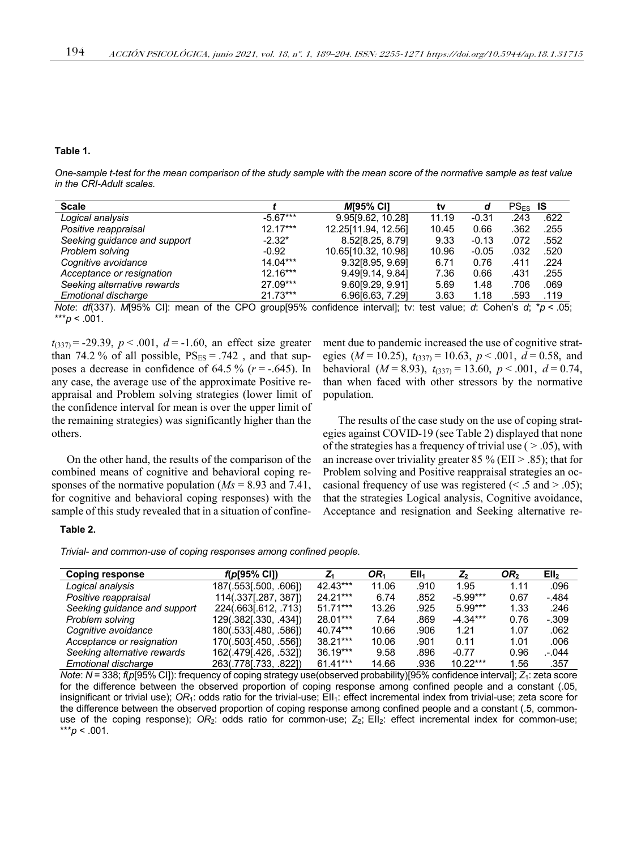#### **Table 1.**

*One-sample t-test for the mean comparison of the study sample with the mean score of the normative sample as test value in the CRI-Adult scales.*

| <b>Scale</b>                                                                                                                                                                                                                                                                                                                       |            | <b>MI95% CII</b>                                                                                                                                                                                                                                                                                                  | tv    | d       | $PS_{FS}$ IS |      |
|------------------------------------------------------------------------------------------------------------------------------------------------------------------------------------------------------------------------------------------------------------------------------------------------------------------------------------|------------|-------------------------------------------------------------------------------------------------------------------------------------------------------------------------------------------------------------------------------------------------------------------------------------------------------------------|-------|---------|--------------|------|
| Logical analysis                                                                                                                                                                                                                                                                                                                   | $-5.67***$ | 9.95[9.62, 10.28]                                                                                                                                                                                                                                                                                                 | 11.19 | $-0.31$ | .243         | .622 |
| Positive reappraisal                                                                                                                                                                                                                                                                                                               | $12.17***$ | 12.25[11.94, 12.56]                                                                                                                                                                                                                                                                                               | 10.45 | 0.66    | .362         | .255 |
| Seeking guidance and support                                                                                                                                                                                                                                                                                                       | $-2.32*$   | 8.52[8.25, 8.79]                                                                                                                                                                                                                                                                                                  | 9.33  | $-0.13$ | .072         | .552 |
| Problem solving                                                                                                                                                                                                                                                                                                                    | $-0.92$    | 10.65[10.32, 10.98]                                                                                                                                                                                                                                                                                               | 10.96 | $-0.05$ | .032         | .520 |
| Cognitive avoidance                                                                                                                                                                                                                                                                                                                | $14.04***$ | 9.32[8.95, 9.69]                                                                                                                                                                                                                                                                                                  | 6.71  | 0.76    | .411         | .224 |
| Acceptance or resignation                                                                                                                                                                                                                                                                                                          | $12.16***$ | 9.49[9.14, 9.84]                                                                                                                                                                                                                                                                                                  | 7.36  | 0.66    | .431         | .255 |
| Seeking alternative rewards                                                                                                                                                                                                                                                                                                        | 27.09***   | 9.60[9.29, 9.91]                                                                                                                                                                                                                                                                                                  | 5.69  | 1.48    | .706         | .069 |
| Emotional discharge                                                                                                                                                                                                                                                                                                                | $21.73***$ | 6.96[6.63, 7.29]                                                                                                                                                                                                                                                                                                  | 3.63  | 1.18    | .593         | .119 |
| $\mathbf{A}$ $\mathbf{B}$ $\mathbf{B}$ $\mathbf{B}$ $\mathbf{B}$ $\mathbf{B}$ $\mathbf{B}$ $\mathbf{B}$ $\mathbf{B}$ $\mathbf{B}$ $\mathbf{B}$ $\mathbf{B}$ $\mathbf{B}$ $\mathbf{B}$ $\mathbf{B}$ $\mathbf{B}$ $\mathbf{B}$ $\mathbf{B}$ $\mathbf{B}$ $\mathbf{B}$ $\mathbf{B}$ $\mathbf{B}$ $\mathbf{B}$ $\mathbf{B}$ $\mathbf{$ |            | $\mathcal{L}$ and the $\mathcal{L}$ and $\mathcal{L}$ and $\mathcal{L}$ and $\mathcal{L}$ and $\mathcal{L}$ and $\mathcal{L}$ and $\mathcal{L}$ and $\mathcal{L}$ and $\mathcal{L}$ and $\mathcal{L}$ and $\mathcal{L}$ and $\mathcal{L}$ and $\mathcal{L}$ and $\mathcal{L}$ and $\mathcal{L}$ and $\mathcal{L}$ |       |         |              |      |

*Note*: *df*(337). *M*[95% CI]: mean of the CPO group[95% confidence interval]; tv: test value; *d*: Cohen's *d*; \**p* < .05;  $**p$  < .001.

 $t_{(337)} = -29.39$ ,  $p < .001$ ,  $d = -1.60$ , an effect size greater than 74.2 % of all possible,  $PS_{ES} = .742$ , and that supposes a decrease in confidence of  $64.5\%$  ( $r = -.645$ ). In any case, the average use of the approximate Positive reappraisal and Problem solving strategies (lower limit of the confidence interval for mean is over the upper limit of the remaining strategies) was significantly higher than the others.

On the other hand, the results of the comparison of the combined means of cognitive and behavioral coping responses of the normative population (*Ms* = 8.93 and 7.41, for cognitive and behavioral coping responses) with the sample of this study revealed that in a situation of confinement due to pandemic increased the use of cognitive strategies ( $M = 10.25$ ),  $t_{(337)} = 10.63$ ,  $p < .001$ ,  $d = 0.58$ , and behavioral  $(M = 8.93)$ ,  $t_{(337)} = 13.60$ ,  $p < .001$ ,  $d = 0.74$ , than when faced with other stressors by the normative population.

The results of the case study on the use of coping strategies against COVID-19 (see Table 2) displayed that none of the strategies has a frequency of trivial use  $( > .05)$ , with an increase over triviality greater 85 % (EII  $> 0.85$ ); that for Problem solving and Positive reappraisal strategies an occasional frequency of use was registered  $(< .5$  and  $> .05$ ); that the strategies Logical analysis, Cognitive avoidance, Acceptance and resignation and Seeking alternative re-

#### **Table 2.**

*Trivial- and common-use of coping responses among confined people.*

| Coping response              | $f(p[95\% \text{ Cl}])$ | $Z_1$      | OR1   | Ell1 | $\mathbf{Z}_2$ | OR <sub>2</sub> | Ell <sub>2</sub> |
|------------------------------|-------------------------|------------|-------|------|----------------|-----------------|------------------|
| Logical analysis             | 187(.553[.500, .606])   | 42.43***   | 11.06 | .910 | 1.95           | 1.11            | .096             |
| Positive reappraisal         | 114(.337[.287, 387])    | 24.21***   | 6.74  | .852 | $-5.99***$     | 0.67            | $-.484$          |
| Seeking guidance and support | 224(.663[.612, .713)    | 51.71***   | 13.26 | .925 | $5.99***$      | 1.33            | .246             |
| Problem solving              | 129(.382[.330, .434])   | 28.01***   | 7.64  | .869 | $-4.34***$     | 0.76            | $-.309$          |
| Cognitive avoidance          | 180(.533[.480, .586])   | 40.74***   | 10.66 | .906 | 1.21           | 1.07            | .062             |
| Acceptance or resignation    | 170(.503[.450, .556])   | 38.21***   | 10.06 | .901 | 0.11           | 1.01            | .006             |
| Seeking alternative rewards  | 162(.479[.426, .532])   | $36.19***$ | 9.58  | .896 | $-0.77$        | 0.96            | .-.044           |
| Emotional discharge          | 263(.778[.733, .822])   | 61.41***   | 14.66 | .936 | $10.22***$     | 1.56            | .357             |

*Note*: *N* = 338; *f*(*p*[95% CI]): frequency of coping strategy use(observed probability)[95% confidence interval]; *Z*<sub>1</sub>: zeta score for the difference between the observed proportion of coping response among confined people and a constant (.05, insignificant or trivial use); OR<sub>1</sub>: odds ratio for the trivial-use; EII<sub>1</sub>: effect incremental index from trivial-use; zeta score for the difference between the observed proportion of coping response among confined people and a constant (.5, commonuse of the coping response); *OR*<sub>2</sub>: odds ratio for common-use; Z<sub>2</sub>; EII<sub>2</sub>: effect incremental index for common-use;  $**<sub>p</sub> < .001$ .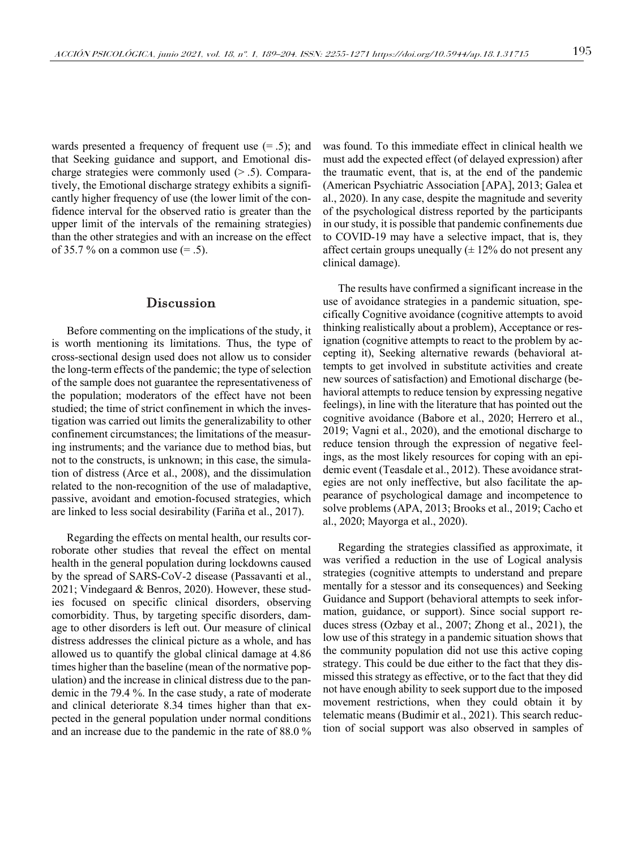wards presented a frequency of frequent use  $(= .5)$ ; and that Seeking guidance and support, and Emotional discharge strategies were commonly used  $(> .5)$ . Comparatively, the Emotional discharge strategy exhibits a significantly higher frequency of use (the lower limit of the confidence interval for the observed ratio is greater than the upper limit of the intervals of the remaining strategies) than the other strategies and with an increase on the effect of 35.7 % on a common use  $(= .5)$ .

#### **Discussion**

Before commenting on the implications of the study, it is worth mentioning its limitations. Thus, the type of cross-sectional design used does not allow us to consider the long-term effects of the pandemic; the type of selection of the sample does not guarantee the representativeness of the population; moderators of the effect have not been studied; the time of strict confinement in which the investigation was carried out limits the generalizability to other confinement circumstances; the limitations of the measuring instruments; and the variance due to method bias, but not to the constructs, is unknown; in this case, the simulation of distress (Arce et al., 2008), and the dissimulation related to the non-recognition of the use of maladaptive, passive, avoidant and emotion-focused strategies, which are linked to less social desirability (Fariña et al., 2017).

Regarding the effects on mental health, our results corroborate other studies that reveal the effect on mental health in the general population during lockdowns caused by the spread of SARS-CoV-2 disease (Passavanti et al., 2021; Vindegaard & Benros, 2020). However, these studies focused on specific clinical disorders, observing comorbidity. Thus, by targeting specific disorders, damage to other disorders is left out. Our measure of clinical distress addresses the clinical picture as a whole, and has allowed us to quantify the global clinical damage at 4.86 times higher than the baseline (mean of the normative population) and the increase in clinical distress due to the pandemic in the 79.4 %. In the case study, a rate of moderate and clinical deteriorate 8.34 times higher than that expected in the general population under normal conditions and an increase due to the pandemic in the rate of 88.0 % was found. To this immediate effect in clinical health we must add the expected effect (of delayed expression) after the traumatic event, that is, at the end of the pandemic (American Psychiatric Association [APA], 2013; Galea et al., 2020). In any case, despite the magnitude and severity of the psychological distress reported by the participants in our study, it is possible that pandemic confinements due to COVID-19 may have a selective impact, that is, they affect certain groups unequally  $(\pm 12\%$  do not present any clinical damage).

The results have confirmed a significant increase in the use of avoidance strategies in a pandemic situation, specifically Cognitive avoidance (cognitive attempts to avoid thinking realistically about a problem), Acceptance or resignation (cognitive attempts to react to the problem by accepting it), Seeking alternative rewards (behavioral attempts to get involved in substitute activities and create new sources of satisfaction) and Emotional discharge (behavioral attempts to reduce tension by expressing negative feelings), in line with the literature that has pointed out the cognitive avoidance (Babore et al., 2020; Herrero et al., 2019; Vagni et al., 2020), and the emotional discharge to reduce tension through the expression of negative feelings, as the most likely resources for coping with an epidemic event (Teasdale et al., 2012). These avoidance strategies are not only ineffective, but also facilitate the appearance of psychological damage and incompetence to solve problems (APA, 2013; Brooks et al., 2019; Cacho et al., 2020; Mayorga et al., 2020).

Regarding the strategies classified as approximate, it was verified a reduction in the use of Logical analysis strategies (cognitive attempts to understand and prepare mentally for a stessor and its consequences) and Seeking Guidance and Support (behavioral attempts to seek information, guidance, or support). Since social support reduces stress (Ozbay et al., 2007; Zhong et al., 2021), the low use of this strategy in a pandemic situation shows that the community population did not use this active coping strategy. This could be due either to the fact that they dismissed this strategy as effective, or to the fact that they did not have enough ability to seek support due to the imposed movement restrictions, when they could obtain it by telematic means (Budimir et al., 2021). This search reduction of social support was also observed in samples of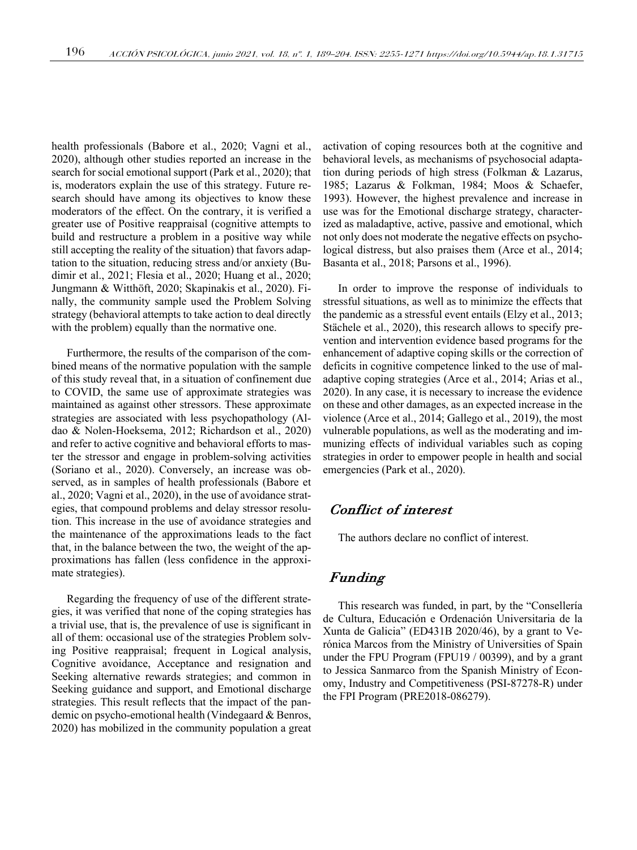health professionals (Babore et al., 2020; Vagni et al., 2020), although other studies reported an increase in the search for social emotional support (Park et al., 2020); that is, moderators explain the use of this strategy. Future research should have among its objectives to know these moderators of the effect. On the contrary, it is verified a greater use of Positive reappraisal (cognitive attempts to build and restructure a problem in a positive way while still accepting the reality of the situation) that favors adaptation to the situation, reducing stress and/or anxiety (Budimir et al., 2021; Flesia et al., 2020; Huang et al., 2020; Jungmann & Witthöft, 2020; Skapinakis et al., 2020). Finally, the community sample used the Problem Solving strategy (behavioral attempts to take action to deal directly with the problem) equally than the normative one.

Furthermore, the results of the comparison of the combined means of the normative population with the sample of this study reveal that, in a situation of confinement due to COVID, the same use of approximate strategies was maintained as against other stressors. These approximate strategies are associated with less psychopathology (Aldao & Nolen-Hoeksema, 2012; Richardson et al., 2020) and refer to active cognitive and behavioral efforts to master the stressor and engage in problem-solving activities (Soriano et al., 2020). Conversely, an increase was observed, as in samples of health professionals (Babore et al., 2020; Vagni et al., 2020), in the use of avoidance strategies, that compound problems and delay stressor resolution. This increase in the use of avoidance strategies and the maintenance of the approximations leads to the fact that, in the balance between the two, the weight of the approximations has fallen (less confidence in the approximate strategies).

Regarding the frequency of use of the different strategies, it was verified that none of the coping strategies has a trivial use, that is, the prevalence of use is significant in all of them: occasional use of the strategies Problem solving Positive reappraisal; frequent in Logical analysis, Cognitive avoidance, Acceptance and resignation and Seeking alternative rewards strategies; and common in Seeking guidance and support, and Emotional discharge strategies. This result reflects that the impact of the pandemic on psycho-emotional health (Vindegaard & Benros, 2020) has mobilized in the community population a great activation of coping resources both at the cognitive and behavioral levels, as mechanisms of psychosocial adaptation during periods of high stress (Folkman & Lazarus, 1985; Lazarus & Folkman, 1984; Moos & Schaefer, 1993). However, the highest prevalence and increase in use was for the Emotional discharge strategy, characterized as maladaptive, active, passive and emotional, which not only does not moderate the negative effects on psychological distress, but also praises them (Arce et al., 2014; Basanta et al., 2018; Parsons et al., 1996).

In order to improve the response of individuals to stressful situations, as well as to minimize the effects that the pandemic as a stressful event entails (Elzy et al., 2013; Stächele et al., 2020), this research allows to specify prevention and intervention evidence based programs for the enhancement of adaptive coping skills or the correction of deficits in cognitive competence linked to the use of maladaptive coping strategies (Arce et al., 2014; Arias et al., 2020). In any case, it is necessary to increase the evidence on these and other damages, as an expected increase in the violence (Arce et al., 2014; Gallego et al., 2019), the most vulnerable populations, as well as the moderating and immunizing effects of individual variables such as coping strategies in order to empower people in health and social emergencies (Park et al., 2020).

# Conflict of interest

The authors declare no conflict of interest.

## Funding

This research was funded, in part, by the "Consellería de Cultura, Educación e Ordenación Universitaria de la Xunta de Galicia" (ED431B 2020/46), by a grant to Verónica Marcos from the Ministry of Universities of Spain under the FPU Program (FPU19 / 00399), and by a grant to Jessica Sanmarco from the Spanish Ministry of Economy, Industry and Competitiveness (PSI-87278-R) under the FPI Program (PRE2018-086279).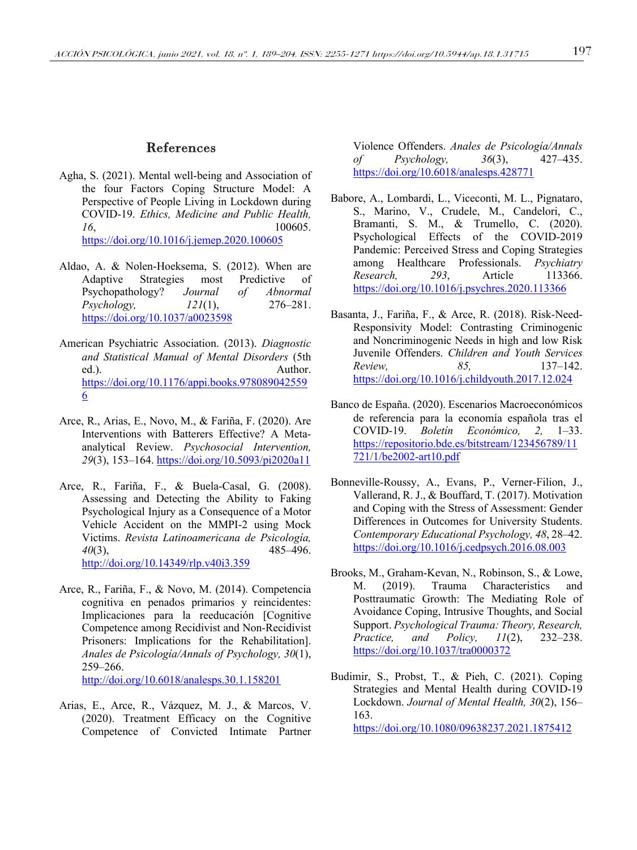- Agha, S. (2021). Mental well-being and Association of the four Factors Coping Structure Model: A Perspective of People Living in Lockdown during COVID-19. *Ethics, Medicine and Public Health, 16*, 100605. https://doi.org/10.1016/j.jemep.2020.100605
- Aldao, A. & Nolen-Hoeksema, S. (2012). When are Adaptive Strategies most Predictive of Psychopathology? *Journal of Abnormal Psychology, 121*(1), 276–281. https://doi.org/10.1037/a0023598
- American Psychiatric Association. (2013). *Diagnostic and Statistical Manual of Mental Disorders* (5th ed.). Author. https://doi.org/10.1176/appi.books.978089042559 6
- Arce, R., Arias, E., Novo, M., & Fariña, F. (2020). Are Interventions with Batterers Effective? A Metaanalytical Review. *Psychosocial Intervention, 29*(3), 153–164. https://doi.org/10.5093/pi2020a11
- Arce, R., Fariña, F., & Buela-Casal, G. (2008). Assessing and Detecting the Ability to Faking Psychological Injury as a Consequence of a Motor Vehicle Accident on the MMPI-2 using Mock Victims. *Revista Latinoamericana de Psicología, 40*(3), 485–496. http://doi.org/10.14349/rlp.v40i3.359
- Arce, R., Fariña, F., & Novo, M. (2014). Competencia cognitiva en penados primarios y reincidentes: Implicaciones para la reeducación [Cognitive Competence among Recidivist and Non-Recidivist Prisoners: Implications for the Rehabilitation]. *Anales de Psicología/Annals of Psychology, 30*(1), 259–266.

http://doi.org/10.6018/analesps.30.1.158201

Arias, E., Arce, R., Vázquez, M. J., & Marcos, V. (2020). Treatment Efficacy on the Cognitive Competence of Convicted Intimate Partner

Violence Offenders. *Anales de Psicología/Annals of Psychology, 36*(3), 427–435. https://doi.org/10.6018/analesps.428771

- Babore, A., Lombardi, L., Viceconti, M. L., Pignataro, S., Marino, V., Crudele, M., Candelori, C., Bramanti, S. M., & Trumello, C. (2020). Psychological Effects of the COVID-2019 Pandemic: Perceived Stress and Coping Strategies among Healthcare Professionals. *Psychiatry Research, 293*, Article 113366. https://doi.org/10.1016/j.psychres.2020.113366
- Basanta, J., Fariña, F., & Arce, R. (2018). Risk-Need-Responsivity Model: Contrasting Criminogenic and Noncriminogenic Needs in high and low Risk Juvenile Offenders. *Children and Youth Services Review, 85,* 137–142. https://doi.org/10.1016/j.childyouth.2017.12.024
- Banco de España. (2020). Escenarios Macroeconómicos de referencia para la economía española tras el COVID-19. *Boletín Económico, 2,* 1–33. https://repositorio.bde.es/bitstream/123456789/11 721/1/be2002-art10.pdf
- Bonneville-Roussy, A., Evans, P., Verner-Filion, J., Vallerand, R. J., & Bouffard, T. (2017). Motivation and Coping with the Stress of Assessment: Gender Differences in Outcomes for University Students. *Contemporary Educational Psychology, 48*, 28–42. https://doi.org/10.1016/j.cedpsych.2016.08.003
- Brooks, M., Graham-Kevan, N., Robinson, S., & Lowe, M. (2019). Trauma Characteristics and Posttraumatic Growth: The Mediating Role of Avoidance Coping, Intrusive Thoughts, and Social Support. *Psychological Trauma: Theory, Research, Practice, and Policy, 11*(2), 232–238. https://doi.org/10.1037/tra0000372
- Budimir, S., Probst, T., & Pieh, C. (2021). Coping Strategies and Mental Health during COVID-19 Lockdown. *Journal of Mental Health, 30*(2), 156– 163.

https://doi.org/10.1080/09638237.2021.1875412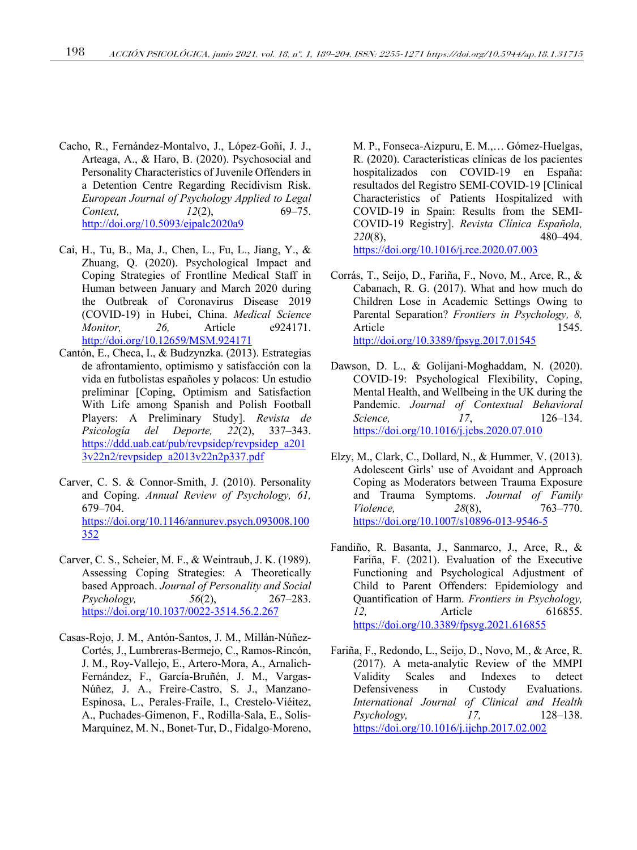- Cacho, R., Fernández-Montalvo, J., López-Goñi, J. J., Arteaga, A., & Haro, B. (2020). Psychosocial and Personality Characteristics of Juvenile Offenders in a Detention Centre Regarding Recidivism Risk. *European Journal of Psychology Applied to Legal Context, 12*(2), 69–75. http://doi.org/10.5093/ejpalc2020a9
- Cai, H., Tu, B., Ma, J., Chen, L., Fu, L., Jiang, Y., & Zhuang, Q. (2020). Psychological Impact and Coping Strategies of Frontline Medical Staff in Human between January and March 2020 during the Outbreak of Coronavirus Disease 2019 (COVID-19) in Hubei, China. *Medical Science Monitor, 26,* Article e924171. http://doi.org/10.12659/MSM.924171
- Cantón, E., Checa, I., & Budzynzka. (2013). Estrategias de afrontamiento, optimismo y satisfacción con la vida en futbolistas españoles y polacos: Un estudio preliminar [Coping, Optimism and Satisfaction With Life among Spanish and Polish Football Players: A Preliminary Study]. *Revista de Psicología del Deporte, 22*(2), 337–343. https://ddd.uab.cat/pub/revpsidep/revpsidep\_a201 3v22n2/revpsidep\_a2013v22n2p337.pdf
- Carver, C. S. & Connor-Smith, J. (2010). Personality and Coping. *Annual Review of Psychology, 61,* 679–704. https://doi.org/10.1146/annurev.psych.093008.100 352
- Carver, C. S., Scheier, M. F., & Weintraub, J. K. (1989). Assessing Coping Strategies: A Theoretically based Approach. *Journal of Personality and Social Psychology, 56*(2), 267–283. https://doi.org/10.1037/0022-3514.56.2.267
- Casas-Rojo, J. M., Antón-Santos, J. M., Millán-Núñez-Cortés, J., Lumbreras-Bermejo, C., Ramos-Rincón, J. M., Roy-Vallejo, E., Artero-Mora, A., Arnalich-Fernández, F., García-Bruñén, J. M., Vargas-Núñez, J. A., Freire-Castro, S. J., Manzano-Espinosa, L., Perales-Fraile, I., Crestelo-Viéitez, A., Puchades-Gimenon, F., Rodilla-Sala, E., Solís-Marquínez, M. N., Bonet-Tur, D., Fidalgo-Moreno,

M. P., Fonseca-Aizpuru, E. M.,… Gómez-Huelgas, R. (2020). Características clínicas de los pacientes hospitalizados con COVID-19 en España: resultados del Registro SEMI-COVID-19 [Clinical Characteristics of Patients Hospitalized with COVID-19 in Spain: Results from the SEMI-COVID-19 Registry]. *Revista Clínica Española, 220*(8), 480–494. https://doi.org/10.1016/j.rce.2020.07.003

- Corrás, T., Seijo, D., Fariña, F., Novo, M., Arce, R., & Cabanach, R. G. (2017). What and how much do Children Lose in Academic Settings Owing to Parental Separation? *Frontiers in Psychology, 8,* Article 1545. http://doi.org/10.3389/fpsyg.2017.01545
- Dawson, D. L., & Golijani-Moghaddam, N. (2020). COVID-19: Psychological Flexibility, Coping, Mental Health, and Wellbeing in the UK during the Pandemic. *Journal of Contextual Behavioral Science, 17*, 126–134. https://doi.org/10.1016/j.jcbs.2020.07.010
- Elzy, M., Clark, C., Dollard, N., & Hummer, V. (2013). Adolescent Girls' use of Avoidant and Approach Coping as Moderators between Trauma Exposure and Trauma Symptoms. *Journal of Family Violence,* 28(8), 763–770. https://doi.org/10.1007/s10896-013-9546-5
- Fandiño, R. Basanta, J., Sanmarco, J., Arce, R., & Fariña, F. (2021). Evaluation of the Executive Functioning and Psychological Adjustment of Child to Parent Offenders: Epidemiology and Quantification of Harm. *Frontiers in Psychology, 12,* Article 616855. https://doi.org/10.3389/fpsyg.2021.616855
- Fariña, F., Redondo, L., Seijo, D., Novo, M., & Arce, R. (2017). A meta-analytic Review of the MMPI Validity Scales and Indexes to detect Defensiveness in Custody Evaluations. *International Journal of Clinical and Health Psychology, 17,* 128–138. https://doi.org/10.1016/j.ijchp.2017.02.002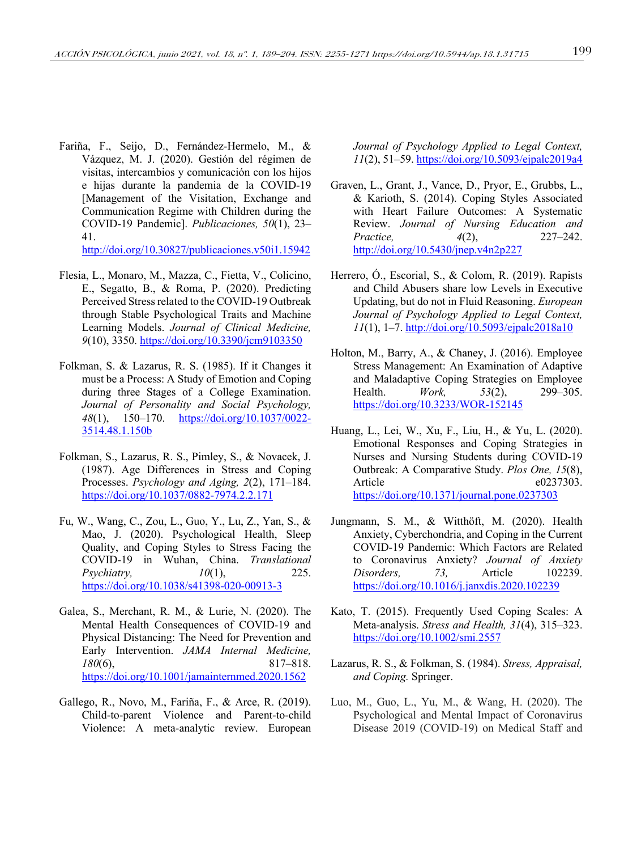Fariña, F., Seijo, D., Fernández-Hermelo, M., & Vázquez, M. J. (2020). Gestión del régimen de visitas, intercambios y comunicación con los hijos e hijas durante la pandemia de la COVID-19 [Management of the Visitation, Exchange and Communication Regime with Children during the COVID-19 Pandemic]. *Publicaciones, 50*(1), 23– 41.

http://doi.org/10.30827/publicaciones.v50i1.15942

- Flesia, L., Monaro, M., Mazza, C., Fietta, V., Colicino, E., Segatto, B., & Roma, P. (2020). Predicting Perceived Stress related to the COVID-19 Outbreak through Stable Psychological Traits and Machine Learning Models. *Journal of Clinical Medicine, 9*(10), 3350. https://doi.org/10.3390/jcm9103350
- Folkman, S. & Lazarus, R. S. (1985). If it Changes it must be a Process: A Study of Emotion and Coping during three Stages of a College Examination. *Journal of Personality and Social Psychology, 48*(1), 150–170. https://doi.org/10.1037/0022- 3514.48.1.150b
- Folkman, S., Lazarus, R. S., Pimley, S., & Novacek, J. (1987). Age Differences in Stress and Coping Processes. *Psychology and Aging, 2*(2), 171–184. https://doi.org/10.1037/0882-7974.2.2.171
- Fu, W., Wang, C., Zou, L., Guo, Y., Lu, Z., Yan, S., & Mao, J. (2020). Psychological Health, Sleep Quality, and Coping Styles to Stress Facing the COVID-19 in Wuhan, China. *Translational Psychiatry, 10*(1), 225. https://doi.org/10.1038/s41398-020-00913-3
- Galea, S., Merchant, R. M., & Lurie, N. (2020). The Mental Health Consequences of COVID-19 and Physical Distancing: The Need for Prevention and Early Intervention. *JAMA Internal Medicine, 180*(6), 817–818. https://doi.org/10.1001/jamainternmed.2020.1562
- Gallego, R., Novo, M., Fariña, F., & Arce, R. (2019). Child-to-parent Violence and Parent-to-child Violence: A meta-analytic review. European

*Journal of Psychology Applied to Legal Context, 11*(2), 51–59. https://doi.org/10.5093/ejpalc2019a4

- Graven, L., Grant, J., Vance, D., Pryor, E., Grubbs, L., & Karioth, S. (2014). Coping Styles Associated with Heart Failure Outcomes: A Systematic Review. *Journal of Nursing Education and Practice, 4*(2), 227–242. http://doi.org/10.5430/jnep.v4n2p227
- Herrero, Ó., Escorial, S., & Colom, R. (2019). Rapists and Child Abusers share low Levels in Executive Updating, but do not in Fluid Reasoning. *European Journal of Psychology Applied to Legal Context, 11*(1), 1–7. http://doi.org/10.5093/ejpalc2018a10
- Holton, M., Barry, A., & Chaney, J. (2016). Employee Stress Management: An Examination of Adaptive and Maladaptive Coping Strategies on Employee Health. *Work, 53*(2), 299–305. https://doi.org/10.3233/WOR-152145
- Huang, L., Lei, W., Xu, F., Liu, H., & Yu, L. (2020). Emotional Responses and Coping Strategies in Nurses and Nursing Students during COVID-19 Outbreak: A Comparative Study. *Plos One, 15*(8), Article e0237303. https://doi.org/10.1371/journal.pone.0237303
- Jungmann, S. M., & Witthöft, M. (2020). Health Anxiety, Cyberchondria, and Coping in the Current COVID-19 Pandemic: Which Factors are Related to Coronavirus Anxiety? *Journal of Anxiety Disorders, 73,* Article 102239. https://doi.org/10.1016/j.janxdis.2020.102239
- Kato, T. (2015). Frequently Used Coping Scales: A Meta-analysis. *Stress and Health, 31*(4), 315–323. https://doi.org/10.1002/smi.2557
- Lazarus, R. S., & Folkman, S. (1984). *Stress, Appraisal, and Coping.* Springer.
- Luo, M., Guo, L., Yu, M., & Wang, H. (2020). The Psychological and Mental Impact of Coronavirus Disease 2019 (COVID-19) on Medical Staff and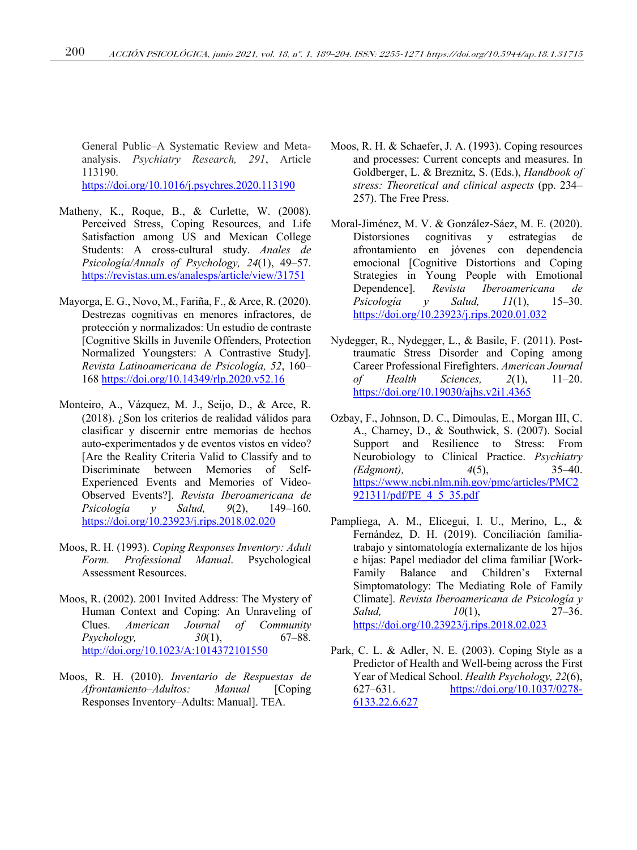General Public–A Systematic Review and Metaanalysis. *Psychiatry Research, 291*, Article 113190. https://doi.org/10.1016/j.psychres.2020.113190

- Matheny, K., Roque, B., & Curlette, W. (2008). Perceived Stress, Coping Resources, and Life Satisfaction among US and Mexican College Students: A cross-cultural study. *Anales de Psicología/Annals of Psychology, 24*(1), 49–57. https://revistas.um.es/analesps/article/view/31751
- Mayorga, E. G., Novo, M., Fariña, F., & Arce, R. (2020). Destrezas cognitivas en menores infractores, de protección y normalizados: Un estudio de contraste [Cognitive Skills in Juvenile Offenders, Protection Normalized Youngsters: A Contrastive Study]. *Revista Latinoamericana de Psicología, 52*, 160– 168 https://doi.org/10.14349/rlp.2020.v52.16
- Monteiro, A., Vázquez, M. J., Seijo, D., & Arce, R. (2018). ¿Son los criterios de realidad válidos para clasificar y discernir entre memorias de hechos auto-experimentados y de eventos vistos en vídeo? [Are the Reality Criteria Valid to Classify and to Discriminate between Memories of Self-Experienced Events and Memories of Video-Observed Events?]. *Revista Iberoamericana de Psicología y Salud, 9*(2), 149–160. https://doi.org/10.23923/j.rips.2018.02.020
- Moos, R. H. (1993). *Coping Responses Inventory: Adult Form. Professional Manual*. Psychological Assessment Resources.
- Moos, R. (2002). 2001 Invited Address: The Mystery of Human Context and Coping: An Unraveling of Clues. *American Journal of Community Psychology, 30*(1), 67–88. http://doi.org/10.1023/A:1014372101550
- Moos, R. H. (2010). *Inventario de Respuestas de Afrontamiento–Adultos: Manual* [Coping Responses Inventory–Adults: Manual]. TEA.
- Moos, R. H. & Schaefer, J. A. (1993). Coping resources and processes: Current concepts and measures. In Goldberger, L. & Breznitz, S. (Eds.), *Handbook of stress: Theoretical and clinical aspects* (pp. 234– 257). The Free Press.
- Moral-Jiménez, M. V. & González-Sáez, M. E. (2020). Distorsiones cognitivas y estrategias de afrontamiento en jóvenes con dependencia emocional [Cognitive Distortions and Coping Strategies in Young People with Emotional Dependence]. *Revista Iberoamericana de Psicología y Salud, 11*(1), 15–30. https://doi.org/10.23923/j.rips.2020.01.032
- Nydegger, R., Nydegger, L., & Basile, F. (2011). Posttraumatic Stress Disorder and Coping among Career Professional Firefighters. *American Journal of Health Sciences, 2*(1), 11–20. https://doi.org/10.19030/ajhs.v2i1.4365
- Ozbay, F., Johnson, D. C., Dimoulas, E., Morgan III, C. A., Charney, D., & Southwick, S. (2007). Social Support and Resilience to Stress: From Neurobiology to Clinical Practice. *Psychiatry (Edgmont), 4*(5), 35–40. https://www.ncbi.nlm.nih.gov/pmc/articles/PMC2 921311/pdf/PE\_4\_5\_35.pdf
- Pampliega, A. M., Elicegui, I. U., Merino, L., & Fernández, D. H. (2019). Conciliación familiatrabajo y sintomatología externalizante de los hijos e hijas: Papel mediador del clima familiar [Work-Family Balance and Children's External Simptomatology: The Mediating Role of Family Climate]. *Revista Iberoamericana de Psicología y Salud, 10*(1), 27–36. https://doi.org/10.23923/j.rips.2018.02.023
- Park, C. L. & Adler, N. E. (2003). Coping Style as a Predictor of Health and Well-being across the First Year of Medical School. *Health Psychology, 22*(6), 627–631. https://doi.org/10.1037/0278- 6133.22.6.627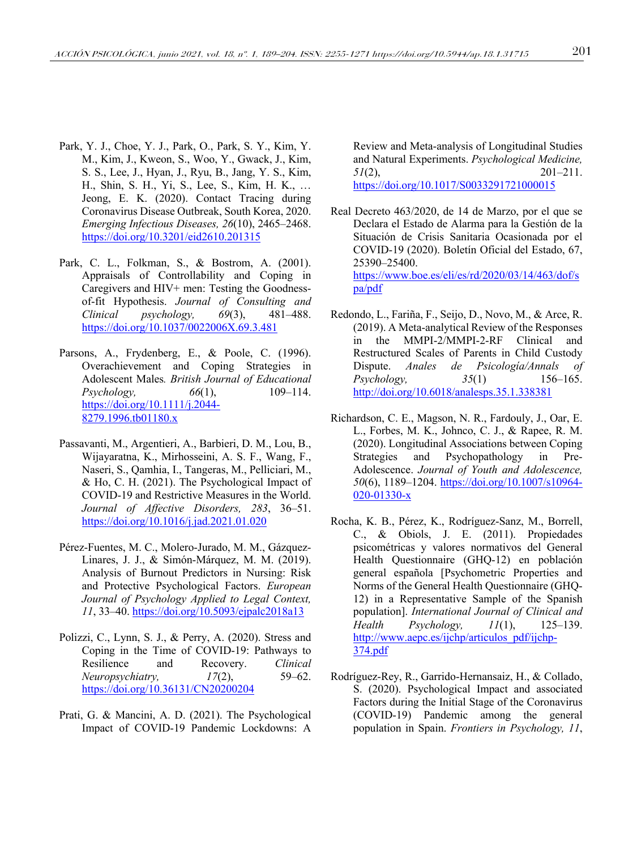- Park, Y. J., Choe, Y. J., Park, O., Park, S. Y., Kim, Y. M., Kim, J., Kweon, S., Woo, Y., Gwack, J., Kim, S. S., Lee, J., Hyan, J., Ryu, B., Jang, Y. S., Kim, H., Shin, S. H., Yi, S., Lee, S., Kim, H. K., … Jeong, E. K. (2020). Contact Tracing during Coronavirus Disease Outbreak, South Korea, 2020. *Emerging Infectious Diseases, 26*(10), 2465–2468. https://doi.org/10.3201/eid2610.201315
- Park, C. L., Folkman, S., & Bostrom, A. (2001). Appraisals of Controllability and Coping in Caregivers and HIV+ men: Testing the Goodnessof-fit Hypothesis. *Journal of Consulting and Clinical psychology, 69*(3), 481–488. https://doi.org/10.1037/0022006X.69.3.481
- Parsons, A., Frydenberg, E., & Poole, C. (1996). Overachievement and Coping Strategies in Adolescent Males*. British Journal of Educational Psychology, 66*(1), 109–114. https://doi.org/10.1111/j.2044- 8279.1996.tb01180.x
- Passavanti, M., Argentieri, A., Barbieri, D. M., Lou, B., Wijayaratna, K., Mirhosseini, A. S. F., Wang, F., Naseri, S., Qamhia, I., Tangeras, M., Pelliciari, M., & Ho, C. H. (2021). The Psychological Impact of COVID-19 and Restrictive Measures in the World. *Journal of Affective Disorders, 283*, 36–51. https://doi.org/10.1016/j.jad.2021.01.020
- Pérez-Fuentes, M. C., Molero-Jurado, M. M., Gázquez-Linares, J. J., & Simón-Márquez, M. M. (2019). Analysis of Burnout Predictors in Nursing: Risk and Protective Psychological Factors. *European Journal of Psychology Applied to Legal Context, 11*, 33–40. https://doi.org/10.5093/ejpalc2018a13
- Polizzi, C., Lynn, S. J., & Perry, A. (2020). Stress and Coping in the Time of COVID-19: Pathways to Resilience and Recovery. *Clinical Neuropsychiatry, 17*(2), 59–62. https://doi.org/10.36131/CN20200204
- Prati, G. & Mancini, A. D. (2021). The Psychological Impact of COVID-19 Pandemic Lockdowns: A

Review and Meta-analysis of Longitudinal Studies and Natural Experiments. *Psychological Medicine, 51*(2), 201–211. https://doi.org/10.1017/S0033291721000015

- Real Decreto 463/2020, de 14 de Marzo, por el que se Declara el Estado de Alarma para la Gestión de la Situación de Crisis Sanitaria Ocasionada por el COVID-19 (2020). Boletín Oficial del Estado, 67, 25390–25400. https://www.boe.es/eli/es/rd/2020/03/14/463/dof/s pa/pdf
- Redondo, L., Fariña, F., Seijo, D., Novo, M., & Arce, R. (2019). A Meta-analytical Review of the Responses in the MMPI-2/MMPI-2-RF Clinical and Restructured Scales of Parents in Child Custody Dispute. *Anales de Psicología/Annals of Psychology, 35*(1) 156–165. http://doi.org/10.6018/analesps.35.1.338381
- Richardson, C. E., Magson, N. R., Fardouly, J., Oar, E. L., Forbes, M. K., Johnco, C. J., & Rapee, R. M. (2020). Longitudinal Associations between Coping Strategies and Psychopathology in Pre-Adolescence. *Journal of Youth and Adolescence, 50*(6), 1189–1204. https://doi.org/10.1007/s10964- 020-01330-x
- Rocha, K. B., Pérez, K., Rodríguez-Sanz, M., Borrell, C., & Obiols, J. E. (2011). Propiedades psicométricas y valores normativos del General Health Questionnaire (GHQ-12) en población general española [Psychometric Properties and Norms of the General Health Questionnaire (GHQ-12) in a Representative Sample of the Spanish population]. *International Journal of Clinical and Health Psychology, 11*(1), 125–139. http://www.aepc.es/ijchp/articulos\_pdf/ijchp-374.pdf
- Rodríguez-Rey, R., Garrido-Hernansaiz, H., & Collado, S. (2020). Psychological Impact and associated Factors during the Initial Stage of the Coronavirus (COVID-19) Pandemic among the general population in Spain. *Frontiers in Psychology, 11*,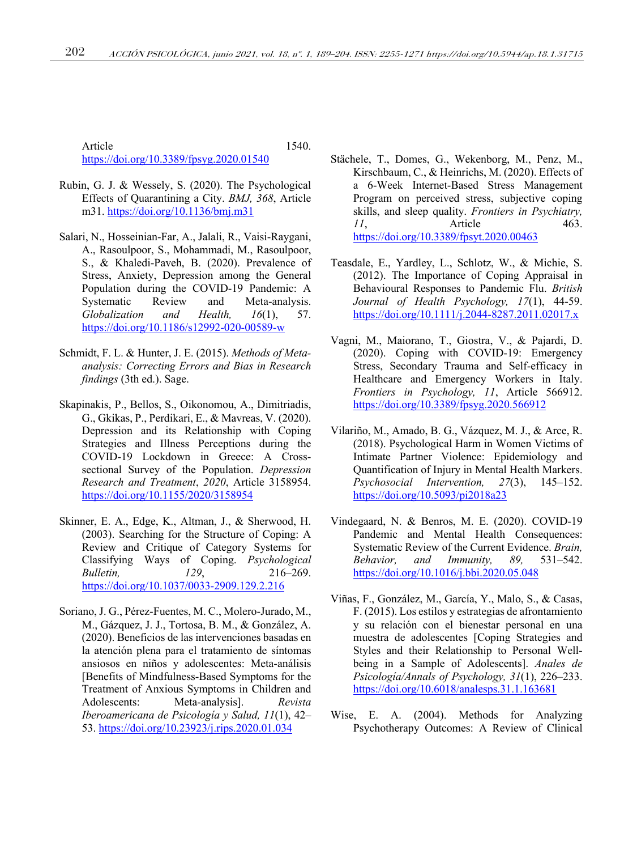Article 1540. https://doi.org/10.3389/fpsyg.2020.01540

- Rubin, G. J. & Wessely, S. (2020). The Psychological Effects of Quarantining a City. *BMJ, 368*, Article m31. https://doi.org/10.1136/bmj.m31
- Salari, N., Hosseinian-Far, A., Jalali, R., Vaisi-Raygani, A., Rasoulpoor, S., Mohammadi, M., Rasoulpoor, S., & Khaledi-Paveh, B. (2020). Prevalence of Stress, Anxiety, Depression among the General Population during the COVID-19 Pandemic: A Systematic Review and Meta-analysis. *Globalization and Health, 16*(1), 57. https://doi.org/10.1186/s12992-020-00589-w
- Schmidt, F. L. & Hunter, J. E. (2015). *Methods of Metaanalysis: Correcting Errors and Bias in Research findings* (3th ed.). Sage.
- Skapinakis, P., Bellos, S., Oikonomou, A., Dimitriadis, G., Gkikas, P., Perdikari, E., & Mavreas, V. (2020). Depression and its Relationship with Coping Strategies and Illness Perceptions during the COVID-19 Lockdown in Greece: A Crosssectional Survey of the Population. *Depression Research and Treatment*, *2020*, Article 3158954. https://doi.org/10.1155/2020/3158954
- Skinner, E. A., Edge, K., Altman, J., & Sherwood, H. (2003). Searching for the Structure of Coping: A Review and Critique of Category Systems for Classifying Ways of Coping. *Psychological Bulletin, 129*, 216–269. https://doi.org/10.1037/0033-2909.129.2.216
- Soriano, J. G., Pérez-Fuentes, M. C., Molero-Jurado, M., M., Gázquez, J. J., Tortosa, B. M., & González, A. (2020). Beneficios de las intervenciones basadas en la atención plena para el tratamiento de síntomas ansiosos en niños y adolescentes: Meta-análisis [Benefits of Mindfulness-Based Symptoms for the Treatment of Anxious Symptoms in Children and Adolescents: Meta-analysis]. *Revista Iberoamericana de Psicología y Salud, 11*(1), 42– 53. https://doi.org/10.23923/j.rips.2020.01.034
- Stächele, T., Domes, G., Wekenborg, M., Penz, M., Kirschbaum, C., & Heinrichs, M. (2020). Effects of a 6-Week Internet-Based Stress Management Program on perceived stress, subjective coping skills, and sleep quality. *Frontiers in Psychiatry, 11*, Article 463. https://doi.org/10.3389/fpsyt.2020.00463
- Teasdale, E., Yardley, L., Schlotz, W., & Michie, S. (2012). The Importance of Coping Appraisal in Behavioural Responses to Pandemic Flu. *British Journal of Health Psychology, 17*(1), 44-59. https://doi.org/10.1111/j.2044-8287.2011.02017.x
- Vagni, M., Maiorano, T., Giostra, V., & Pajardi, D. (2020). Coping with COVID-19: Emergency Stress, Secondary Trauma and Self-efficacy in Healthcare and Emergency Workers in Italy. *Frontiers in Psychology, 11*, Article 566912. https://doi.org/10.3389/fpsyg.2020.566912
- Vilariño, M., Amado, B. G., Vázquez, M. J., & Arce, R. (2018). Psychological Harm in Women Victims of Intimate Partner Violence: Epidemiology and Quantification of Injury in Mental Health Markers. *Psychosocial Intervention, 27*(3), 145–152. https://doi.org/10.5093/pi2018a23
- Vindegaard, N. & Benros, M. E. (2020). COVID-19 Pandemic and Mental Health Consequences: Systematic Review of the Current Evidence. *Brain, Behavior, and Immunity, 89,* 531–542. https://doi.org/10.1016/j.bbi.2020.05.048
- Viñas, F., González, M., García, Y., Malo, S., & Casas, F. (2015). Los estilos y estrategias de afrontamiento y su relación con el bienestar personal en una muestra de adolescentes [Coping Strategies and Styles and their Relationship to Personal Wellbeing in a Sample of Adolescents]. *Anales de Psicología/Annals of Psychology, 31*(1), 226–233. https://doi.org/10.6018/analesps.31.1.163681
- Wise, E. A. (2004). Methods for Analyzing Psychotherapy Outcomes: A Review of Clinical